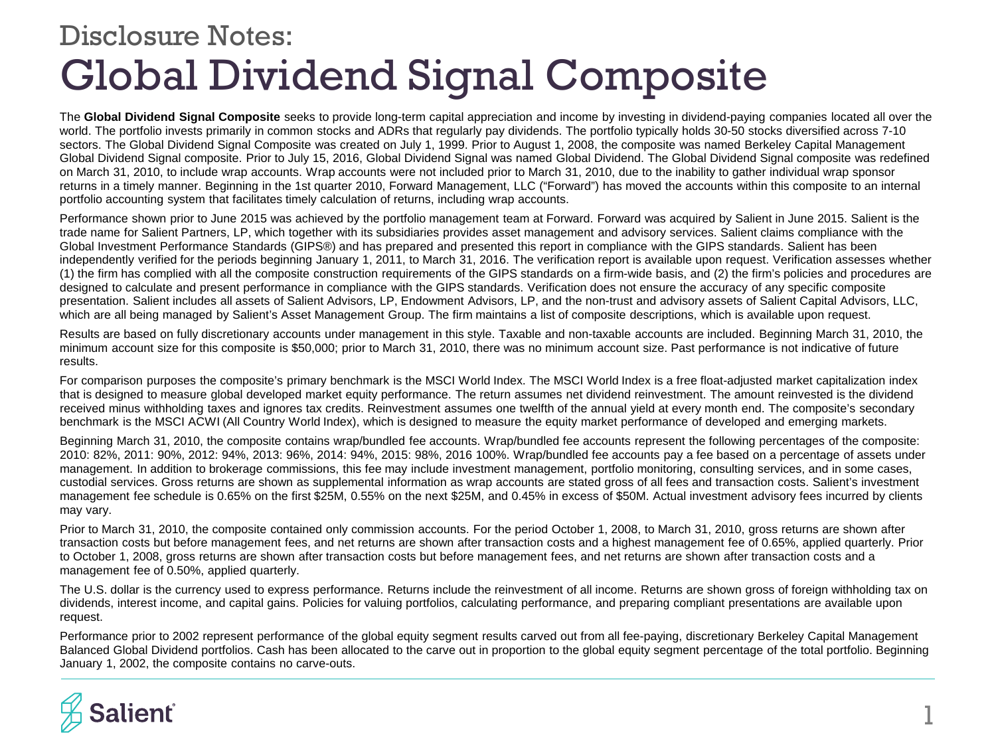## Global Dividend Signal Composite Disclosure Notes:

The **Global Dividend Signal Composite** seeks to provide long-term capital appreciation and income by investing in dividend-paying companies located all over the world. The portfolio invests primarily in common stocks and ADRs that regularly pay dividends. The portfolio typically holds 30-50 stocks diversified across 7-10 sectors. The Global Dividend Signal Composite was created on July 1, 1999. Prior to August 1, 2008, the composite was named Berkeley Capital Management Global Dividend Signal composite. Prior to July 15, 2016, Global Dividend Signal was named Global Dividend. The Global Dividend Signal composite was redefined on March 31, 2010, to include wrap accounts. Wrap accounts were not included prior to March 31, 2010, due to the inability to gather individual wrap sponsor returns in a timely manner. Beginning in the 1st quarter 2010, Forward Management, LLC ("Forward") has moved the accounts within this composite to an internal portfolio accounting system that facilitates timely calculation of returns, including wrap accounts.

Performance shown prior to June 2015 was achieved by the portfolio management team at Forward. Forward was acquired by Salient in June 2015. Salient is the trade name for Salient Partners, LP, which together with its subsidiaries provides asset management and advisory services. Salient claims compliance with the Global Investment Performance Standards (GIPS®) and has prepared and presented this report in compliance with the GIPS standards. Salient has been independently verified for the periods beginning January 1, 2011, to March 31, 2016. The verification report is available upon request. Verification assesses whether (1) the firm has complied with all the composite construction requirements of the GIPS standards on a firm-wide basis, and (2) the firm's policies and procedures are designed to calculate and present performance in compliance with the GIPS standards. Verification does not ensure the accuracy of any specific composite presentation. Salient includes all assets of Salient Advisors, LP, Endowment Advisors, LP, and the non-trust and advisory assets of Salient Capital Advisors, LLC, which are all being managed by Salient's Asset Management Group. The firm maintains a list of composite descriptions, which is available upon request.

Results are based on fully discretionary accounts under management in this style. Taxable and non-taxable accounts are included. Beginning March 31, 2010, the minimum account size for this composite is \$50,000; prior to March 31, 2010, there was no minimum account size. Past performance is not indicative of future results.

For comparison purposes the composite's primary benchmark is the MSCI World Index. The MSCI World Index is a free float-adjusted market capitalization index that is designed to measure global developed market equity performance. The return assumes net dividend reinvestment. The amount reinvested is the dividend received minus withholding taxes and ignores tax credits. Reinvestment assumes one twelfth of the annual yield at every month end. The composite's secondary benchmark is the MSCI ACWI (All Country World Index), which is designed to measure the equity market performance of developed and emerging markets.

Beginning March 31, 2010, the composite contains wrap/bundled fee accounts. Wrap/bundled fee accounts represent the following percentages of the composite: 2010: 82%, 2011: 90%, 2012: 94%, 2013: 96%, 2014: 94%, 2015: 98%, 2016 100%. Wrap/bundled fee accounts pay a fee based on a percentage of assets under management. In addition to brokerage commissions, this fee may include investment management, portfolio monitoring, consulting services, and in some cases, custodial services. Gross returns are shown as supplemental information as wrap accounts are stated gross of all fees and transaction costs. Salient's investment management fee schedule is 0.65% on the first \$25M, 0.55% on the next \$25M, and 0.45% in excess of \$50M. Actual investment advisory fees incurred by clients may vary.

Prior to March 31, 2010, the composite contained only commission accounts. For the period October 1, 2008, to March 31, 2010, gross returns are shown after transaction costs but before management fees, and net returns are shown after transaction costs and a highest management fee of 0.65%, applied quarterly. Prior to October 1, 2008, gross returns are shown after transaction costs but before management fees, and net returns are shown after transaction costs and a management fee of 0.50%, applied quarterly.

The U.S. dollar is the currency used to express performance. Returns include the reinvestment of all income. Returns are shown gross of foreign withholding tax on dividends, interest income, and capital gains. Policies for valuing portfolios, calculating performance, and preparing compliant presentations are available upon request.

Performance prior to 2002 represent performance of the global equity segment results carved out from all fee-paying, discretionary Berkeley Capital Management Balanced Global Dividend portfolios. Cash has been allocated to the carve out in proportion to the global equity segment percentage of the total portfolio. Beginning January 1, 2002, the composite contains no carve-outs.